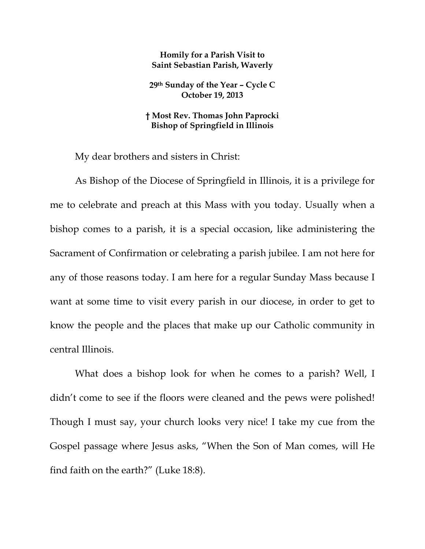## **Homily for a Parish Visit to Saint Sebastian Parish, Waverly**

**29th Sunday of the Year – Cycle C October 19, 2013** 

## **† Most Rev. Thomas John Paprocki Bishop of Springfield in Illinois**

My dear brothers and sisters in Christ:

As Bishop of the Diocese of Springfield in Illinois, it is a privilege for me to celebrate and preach at this Mass with you today. Usually when a bishop comes to a parish, it is a special occasion, like administering the Sacrament of Confirmation or celebrating a parish jubilee. I am not here for any of those reasons today. I am here for a regular Sunday Mass because I want at some time to visit every parish in our diocese, in order to get to know the people and the places that make up our Catholic community in central Illinois.

What does a bishop look for when he comes to a parish? Well, I didn't come to see if the floors were cleaned and the pews were polished! Though I must say, your church looks very nice! I take my cue from the Gospel passage where Jesus asks, "When the Son of Man comes, will He find faith on the earth?" (Luke 18:8).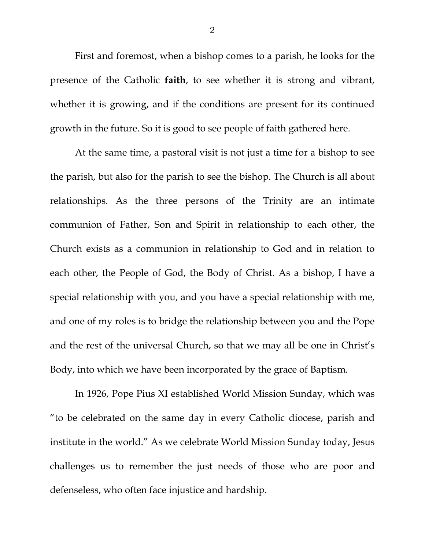First and foremost, when a bishop comes to a parish, he looks for the presence of the Catholic **faith**, to see whether it is strong and vibrant, whether it is growing, and if the conditions are present for its continued growth in the future. So it is good to see people of faith gathered here.

At the same time, a pastoral visit is not just a time for a bishop to see the parish, but also for the parish to see the bishop. The Church is all about relationships. As the three persons of the Trinity are an intimate communion of Father, Son and Spirit in relationship to each other, the Church exists as a communion in relationship to God and in relation to each other, the People of God, the Body of Christ. As a bishop, I have a special relationship with you, and you have a special relationship with me, and one of my roles is to bridge the relationship between you and the Pope and the rest of the universal Church, so that we may all be one in Christ's Body, into which we have been incorporated by the grace of Baptism.

In 1926, Pope Pius XI established World Mission Sunday, which was "to be celebrated on the same day in every Catholic diocese, parish and institute in the world." As we celebrate World Mission Sunday today, Jesus challenges us to remember the just needs of those who are poor and defenseless, who often face injustice and hardship.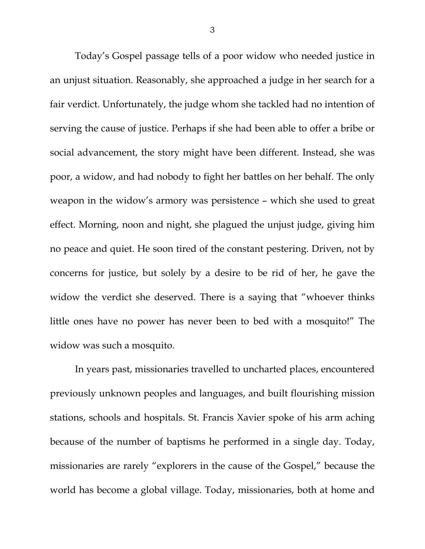Today's Gospel passage tells of a poor widow who needed justice in an unjust situation. Reasonably, she approached a judge in her search for a fair verdict. Unfortunately, the judge whom she tackled had no intention of serving the cause of justice. Perhaps if she had been able to offer a bribe or social advancement, the story might have been different. Instead, she was poor, a widow, and had nobody to fight her battles on her behalf. The only weapon in the widow's armory was persistence – which she used to great effect. Morning, noon and night, she plagued the unjust judge, giving him no peace and quiet. He soon tired of the constant pestering. Driven, not by concerns for justice, but solely by a desire to be rid of her, he gave the widow the verdict she deserved. There is a saying that "whoever thinks little ones have no power has never been to bed with a mosquito!" The widow was such a mosquito.

 In years past, missionaries travelled to uncharted places, encountered previously unknown peoples and languages, and built flourishing mission stations, schools and hospitals. St. Francis Xavier spoke of his arm aching because of the number of baptisms he performed in a single day. Today, missionaries are rarely "explorers in the cause of the Gospel," because the world has become a global village. Today, missionaries, both at home and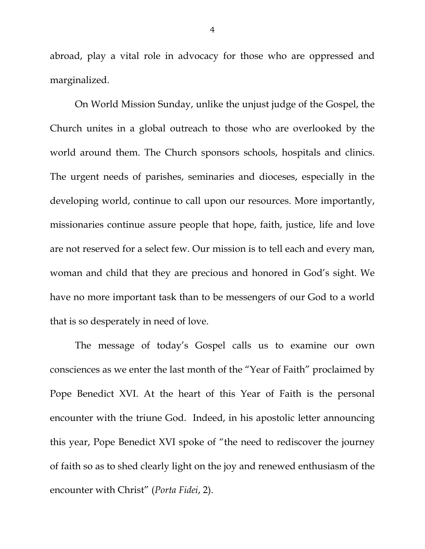abroad, play a vital role in advocacy for those who are oppressed and marginalized.

On World Mission Sunday, unlike the unjust judge of the Gospel, the Church unites in a global outreach to those who are overlooked by the world around them. The Church sponsors schools, hospitals and clinics. The urgent needs of parishes, seminaries and dioceses, especially in the developing world, continue to call upon our resources. More importantly, missionaries continue assure people that hope, faith, justice, life and love are not reserved for a select few. Our mission is to tell each and every man, woman and child that they are precious and honored in God's sight. We have no more important task than to be messengers of our God to a world that is so desperately in need of love.

The message of today's Gospel calls us to examine our own consciences as we enter the last month of the "Year of Faith" proclaimed by Pope Benedict XVI. At the heart of this Year of Faith is the personal encounter with the triune God. Indeed, in his apostolic letter announcing this year, Pope Benedict XVI spoke of "the need to rediscover the journey of faith so as to shed clearly light on the joy and renewed enthusiasm of the encounter with Christ" (*Porta Fidei*, 2).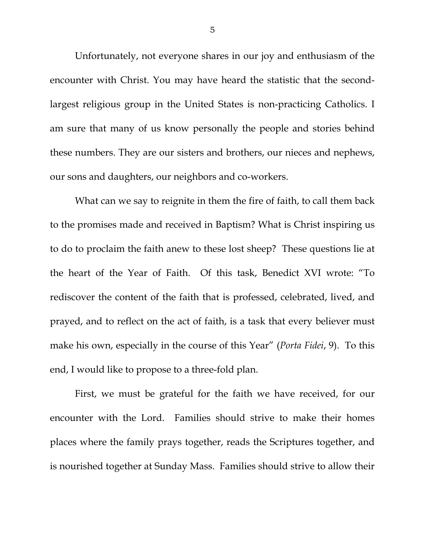Unfortunately, not everyone shares in our joy and enthusiasm of the encounter with Christ. You may have heard the statistic that the secondlargest religious group in the United States is non-practicing Catholics. I am sure that many of us know personally the people and stories behind these numbers. They are our sisters and brothers, our nieces and nephews, our sons and daughters, our neighbors and co-workers.

What can we say to reignite in them the fire of faith, to call them back to the promises made and received in Baptism? What is Christ inspiring us to do to proclaim the faith anew to these lost sheep? These questions lie at the heart of the Year of Faith. Of this task, Benedict XVI wrote: "To rediscover the content of the faith that is professed, celebrated, lived, and prayed, and to reflect on the act of faith, is a task that every believer must make his own, especially in the course of this Year" (*Porta Fidei*, 9). To this end, I would like to propose to a three-fold plan.

 First, we must be grateful for the faith we have received, for our encounter with the Lord. Families should strive to make their homes places where the family prays together, reads the Scriptures together, and is nourished together at Sunday Mass. Families should strive to allow their

5